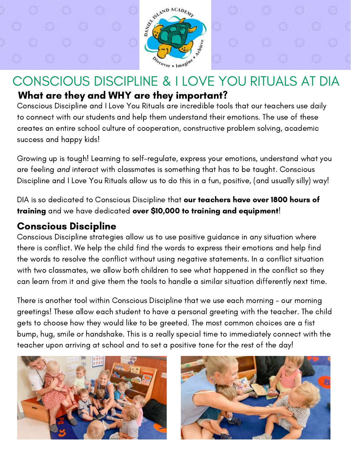

## CONSCIOUS DISCIPLINE & I LOVE YOU RITUALS AT DIA What are they and WHY are they important?

Conscious Discipline and I Love You Rituals are incredible tools that our teachers use daily to connect with our students and help them understand their emotions. The use of these creates an entire school culture of cooperation, constructive problem solving, academic success and happy kids!

Growing up is tough! Learning to self-regulate, express your emotions, understand what you are feeling and interact with classmates is something that has to be taught. Conscious Discipline and I Love You Rituals allow us to do this in a fun, positive, (and usually silly) way!

DIA is so dedicated to Conscious Discipline that our teachers have over 1800 hours of training and we have dedicated over \$10,000 to training and equipment!

### Conscious Discipline

Conscious Discipline strategies allow us to use positive guidance in any situation where there is conflict. We help the child find the words to express their emotions and help find the words to resolve the conflict without using negative statements. In a conflict situation with two classmates, we allow both children to see what happened in the conflict so they can learn from it and give them the tools to handle a similar situation differently next time.

There is another tool within Conscious Discipline that we use each morning - our morning greetings! These allow each student to have a personal greeting with the teacher. The child gets to choose how they would like to be greeted. The most common choices are a fist bump, hug, smile or handshake. This is a really special time to immediately connect with the teacher upon arriving at school and to set a positive tone for the rest of the day!



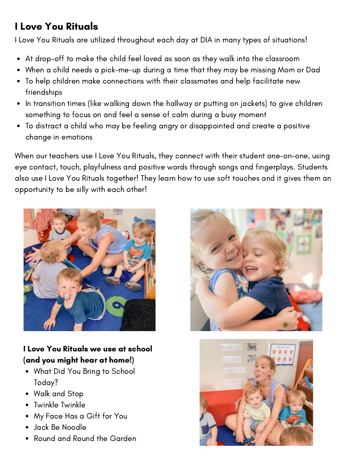# I Love You Rituals

I Love You Rituals are utilized throughout each day at DIA in many types of situations!

- At drop-off to make the child feel loved as soon as they walk into the classroom
- When a child needs a pick-me-up during a time that they may be missing Mom or Dad
- To help children make connections with their classmates and help facilitate new friendships
- In transition times (like walking down the hallway or putting on jackets) to give children something to focus on and feel a sense of calm during a busy moment
- To distract a child who may be feeling angry or disappointed and create a positive  $\bullet$ change in emotions

When our teachers use I Love You Rituals, they connect with their student one-on-one, using eye contact, touch, playfulness and positive words through songs and fingerplays. Students also use I Love You Rituals together! They learn how to use soft touches and it gives them an opportunity to be silly with each other!



#### I Love You Rituals we use at school (and you might hear at home!)

- What Did You Bring to School Today?
- Walk and Stop
- Twinkle Twinkle
- My Face Has a Gift for You
- Jack Be Noodle
- Round and Round the Garden